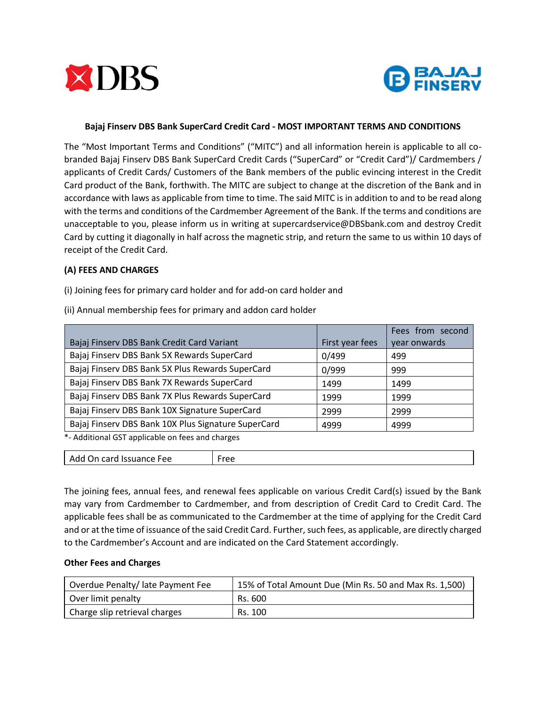



## **Bajaj Finserv DBS Bank SuperCard Credit Card - MOST IMPORTANT TERMS AND CONDITIONS**

The "Most Important Terms and Conditions" ("MITC") and all information herein is applicable to all cobranded Bajaj Finserv DBS Bank SuperCard Credit Cards ("SuperCard" or "Credit Card")/ Cardmembers / applicants of Credit Cards/ Customers of the Bank members of the public evincing interest in the Credit Card product of the Bank, forthwith. The MITC are subject to change at the discretion of the Bank and in accordance with laws as applicable from time to time. The said MITC is in addition to and to be read along with the terms and conditions of the Cardmember Agreement of the Bank. If the terms and conditions are unacceptable to you, please inform us in writing at supercardservice@DBSbank.com and destroy Credit Card by cutting it diagonally in half across the magnetic strip, and return the same to us within 10 days of receipt of the Credit Card.

## **(A) FEES AND CHARGES**

(i) Joining fees for primary card holder and for add-on card holder and

|                                                     |                 | Fees from second |
|-----------------------------------------------------|-----------------|------------------|
| Bajaj Finserv DBS Bank Credit Card Variant          | First year fees | year onwards     |
| Bajaj Finserv DBS Bank 5X Rewards SuperCard         | 0/499           | 499              |
| Bajaj Finserv DBS Bank 5X Plus Rewards SuperCard    | 0/999           | 999              |
| Bajaj Finserv DBS Bank 7X Rewards SuperCard         | 1499            | 1499             |
| Bajaj Finserv DBS Bank 7X Plus Rewards SuperCard    | 1999            | 1999             |
| Bajaj Finserv DBS Bank 10X Signature SuperCard      | 2999            | 2999             |
| Bajaj Finserv DBS Bank 10X Plus Signature SuperCard | 4999            | 4999             |

(ii) Annual membership fees for primary and addon card holder

\*- Additional GST applicable on fees and charges

| $\sim$<br>– Ad⊾<br>Issuance Fee<br>'r∆c<br>. On<br>caru.<br>ີ |
|---------------------------------------------------------------|
|---------------------------------------------------------------|

The joining fees, annual fees, and renewal fees applicable on various Credit Card(s) issued by the Bank may vary from Cardmember to Cardmember, and from description of Credit Card to Credit Card. The applicable fees shall be as communicated to the Cardmember at the time of applying for the Credit Card and or at the time of issuance of the said Credit Card. Further, such fees, as applicable, are directly charged to the Cardmember's Account and are indicated on the Card Statement accordingly.

#### **Other Fees and Charges**

| Overdue Penalty/ late Payment Fee | 15% of Total Amount Due (Min Rs. 50 and Max Rs. 1,500) |
|-----------------------------------|--------------------------------------------------------|
| Over limit penalty                | Rs. 600                                                |
| Charge slip retrieval charges     | Rs. 100                                                |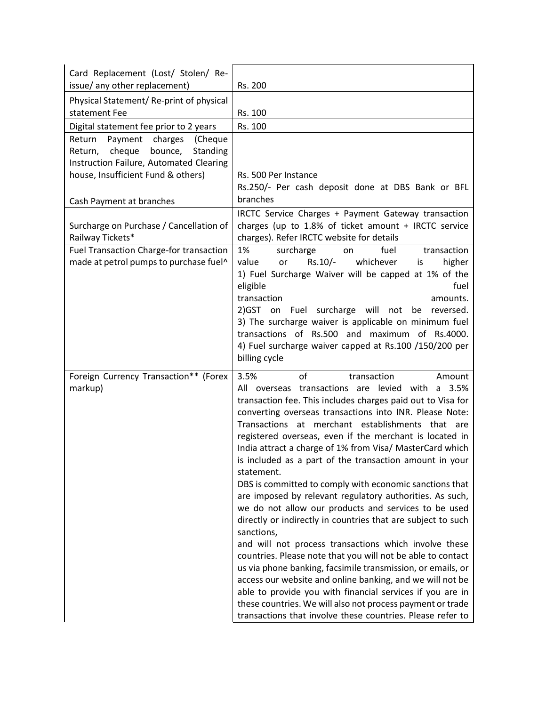| Card Replacement (Lost/ Stolen/ Re-<br>issue/ any other replacement)                                                                                              | Rs. 200                                                                                                                                                                                                                                                                                                                                                                                                                                                                                                                                                                                                                                                                                                                                                                                                                                                                                                                                                                                                                                                                                                                                                                            |
|-------------------------------------------------------------------------------------------------------------------------------------------------------------------|------------------------------------------------------------------------------------------------------------------------------------------------------------------------------------------------------------------------------------------------------------------------------------------------------------------------------------------------------------------------------------------------------------------------------------------------------------------------------------------------------------------------------------------------------------------------------------------------------------------------------------------------------------------------------------------------------------------------------------------------------------------------------------------------------------------------------------------------------------------------------------------------------------------------------------------------------------------------------------------------------------------------------------------------------------------------------------------------------------------------------------------------------------------------------------|
| Physical Statement/Re-print of physical<br>statement Fee                                                                                                          | Rs. 100                                                                                                                                                                                                                                                                                                                                                                                                                                                                                                                                                                                                                                                                                                                                                                                                                                                                                                                                                                                                                                                                                                                                                                            |
| Digital statement fee prior to 2 years                                                                                                                            | Rs. 100                                                                                                                                                                                                                                                                                                                                                                                                                                                                                                                                                                                                                                                                                                                                                                                                                                                                                                                                                                                                                                                                                                                                                                            |
| Payment charges<br>Return<br>(Cheque<br>cheque<br>bounce,<br>Standing<br>Return,<br>Instruction Failure, Automated Clearing<br>house, Insufficient Fund & others) | Rs. 500 Per Instance<br>Rs.250/- Per cash deposit done at DBS Bank or BFL                                                                                                                                                                                                                                                                                                                                                                                                                                                                                                                                                                                                                                                                                                                                                                                                                                                                                                                                                                                                                                                                                                          |
| Cash Payment at branches                                                                                                                                          | branches                                                                                                                                                                                                                                                                                                                                                                                                                                                                                                                                                                                                                                                                                                                                                                                                                                                                                                                                                                                                                                                                                                                                                                           |
| Surcharge on Purchase / Cancellation of<br>Railway Tickets*                                                                                                       | IRCTC Service Charges + Payment Gateway transaction<br>charges (up to 1.8% of ticket amount + IRCTC service<br>charges). Refer IRCTC website for details                                                                                                                                                                                                                                                                                                                                                                                                                                                                                                                                                                                                                                                                                                                                                                                                                                                                                                                                                                                                                           |
| Fuel Transaction Charge-for transaction<br>made at petrol pumps to purchase fuel^                                                                                 | 1%<br>surcharge<br>fuel<br>transaction<br>on<br>$Rs.10/-$<br>whichever<br>value<br>higher<br>or<br>is<br>1) Fuel Surcharge Waiver will be capped at 1% of the<br>eligible<br>fuel<br>transaction<br>amounts.<br>2) GST on Fuel surcharge will not<br>be reversed.<br>3) The surcharge waiver is applicable on minimum fuel<br>transactions of Rs.500 and maximum<br>of Rs.4000.<br>4) Fuel surcharge waiver capped at Rs.100 /150/200 per<br>billing cycle                                                                                                                                                                                                                                                                                                                                                                                                                                                                                                                                                                                                                                                                                                                         |
| Foreign Currency Transaction** (Forex<br>markup)                                                                                                                  | 3.5%<br>of<br>transaction<br>Amount<br>All overseas transactions are levied with a<br>3.5%<br>transaction fee. This includes charges paid out to Visa for<br>converting overseas transactions into INR. Please Note:<br>Transactions at merchant establishments that are<br>registered overseas, even if the merchant is located in<br>India attract a charge of 1% from Visa/ MasterCard which<br>is included as a part of the transaction amount in your<br>statement.<br>DBS is committed to comply with economic sanctions that<br>are imposed by relevant regulatory authorities. As such,<br>we do not allow our products and services to be used<br>directly or indirectly in countries that are subject to such<br>sanctions,<br>and will not process transactions which involve these<br>countries. Please note that you will not be able to contact<br>us via phone banking, facsimile transmission, or emails, or<br>access our website and online banking, and we will not be<br>able to provide you with financial services if you are in<br>these countries. We will also not process payment or trade<br>transactions that involve these countries. Please refer to |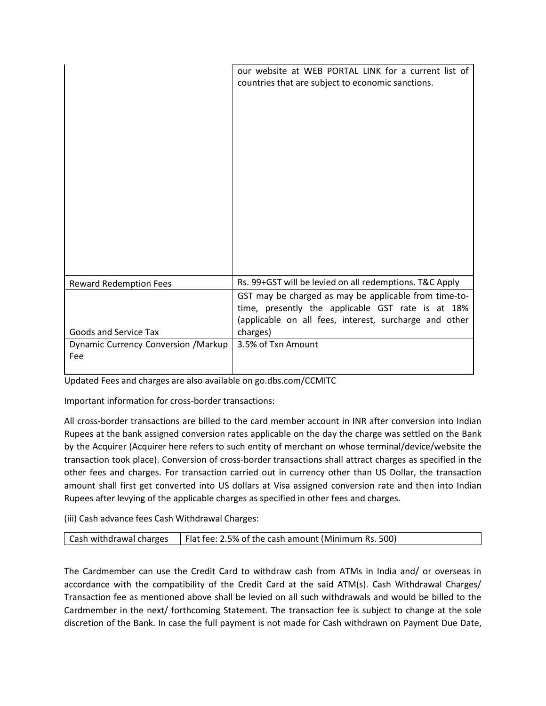|                                             | our website at WEB PORTAL LINK for a current list of<br>countries that are subject to economic sanctions.                                                                        |
|---------------------------------------------|----------------------------------------------------------------------------------------------------------------------------------------------------------------------------------|
| <b>Reward Redemption Fees</b>               | Rs. 99+GST will be levied on all redemptions. T&C Apply                                                                                                                          |
| <b>Goods and Service Tax</b>                | GST may be charged as may be applicable from time-to-<br>time, presently the applicable GST rate is at 18%<br>(applicable on all fees, interest, surcharge and other<br>charges) |
| Dynamic Currency Conversion / Markup<br>Fee | 3.5% of Txn Amount                                                                                                                                                               |

Updated Fees and charges are also available on go.dbs.com/CCMITC

Important information for cross-border transactions:

All cross-border transactions are billed to the card member account in INR after conversion into Indian Rupees at the bank assigned conversion rates applicable on the day the charge was settled on the Bank by the Acquirer (Acquirer here refers to such entity of merchant on whose terminal/device/website the transaction took place). Conversion of cross-border transactions shall attract charges as specified in the other fees and charges. For transaction carried out in currency other than US Dollar, the transaction amount shall first get converted into US dollars at Visa assigned conversion rate and then into Indian Rupees after levying of the applicable charges as specified in other fees and charges.

(iii) Cash advance fees Cash Withdrawal Charges:

| Cash withdrawal charges | Flat fee: 2.5% of the cash amount (Minimum Rs. 500) |
|-------------------------|-----------------------------------------------------|
|-------------------------|-----------------------------------------------------|

The Cardmember can use the Credit Card to withdraw cash from ATMs in India and/ or overseas in accordance with the compatibility of the Credit Card at the said ATM(s). Cash Withdrawal Charges/ Transaction fee as mentioned above shall be levied on all such withdrawals and would be billed to the Cardmember in the next/ forthcoming Statement. The transaction fee is subject to change at the sole discretion of the Bank. In case the full payment is not made for Cash withdrawn on Payment Due Date,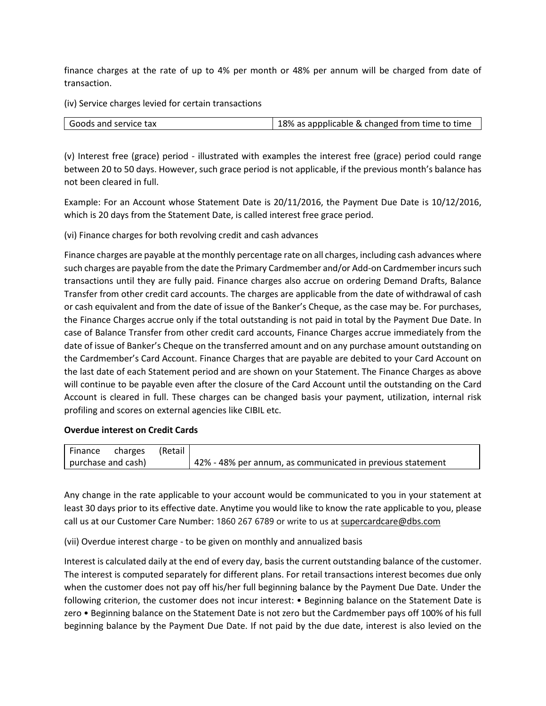finance charges at the rate of up to 4% per month or 48% per annum will be charged from date of transaction.

(iv) Service charges levied for certain transactions

| Goods and service tax | 18% as appplicable & changed from time to time |
|-----------------------|------------------------------------------------|

(v) Interest free (grace) period - illustrated with examples the interest free (grace) period could range between 20 to 50 days. However, such grace period is not applicable, if the previous month's balance has not been cleared in full.

Example: For an Account whose Statement Date is 20/11/2016, the Payment Due Date is 10/12/2016, which is 20 days from the Statement Date, is called interest free grace period.

(vi) Finance charges for both revolving credit and cash advances

Finance charges are payable at the monthly percentage rate on all charges, including cash advances where such charges are payable from the date the Primary Cardmember and/or Add-on Cardmember incurs such transactions until they are fully paid. Finance charges also accrue on ordering Demand Drafts, Balance Transfer from other credit card accounts. The charges are applicable from the date of withdrawal of cash or cash equivalent and from the date of issue of the Banker's Cheque, as the case may be. For purchases, the Finance Charges accrue only if the total outstanding is not paid in total by the Payment Due Date. In case of Balance Transfer from other credit card accounts, Finance Charges accrue immediately from the date of issue of Banker's Cheque on the transferred amount and on any purchase amount outstanding on the Cardmember's Card Account. Finance Charges that are payable are debited to your Card Account on the last date of each Statement period and are shown on your Statement. The Finance Charges as above will continue to be payable even after the closure of the Card Account until the outstanding on the Card Account is cleared in full. These charges can be changed basis your payment, utilization, internal risk profiling and scores on external agencies like CIBIL etc.

## **Overdue interest on Credit Cards**

| Finance charges    | (Retail |                                                            |
|--------------------|---------|------------------------------------------------------------|
| purchase and cash) |         | 42% - 48% per annum, as communicated in previous statement |

Any change in the rate applicable to your account would be communicated to you in your statement at least 30 days prior to its effective date. Anytime you would like to know the rate applicable to you, please call us at our Customer Care Number: 1860 267 6789 or write to us at [supercardcare@dbs.com](mailto:supercardcare@dbs.com)

(vii) Overdue interest charge - to be given on monthly and annualized basis

Interest is calculated daily at the end of every day, basis the current outstanding balance of the customer. The interest is computed separately for different plans. For retail transactions interest becomes due only when the customer does not pay off his/her full beginning balance by the Payment Due Date. Under the following criterion, the customer does not incur interest: • Beginning balance on the Statement Date is zero • Beginning balance on the Statement Date is not zero but the Cardmember pays off 100% of his full beginning balance by the Payment Due Date. If not paid by the due date, interest is also levied on the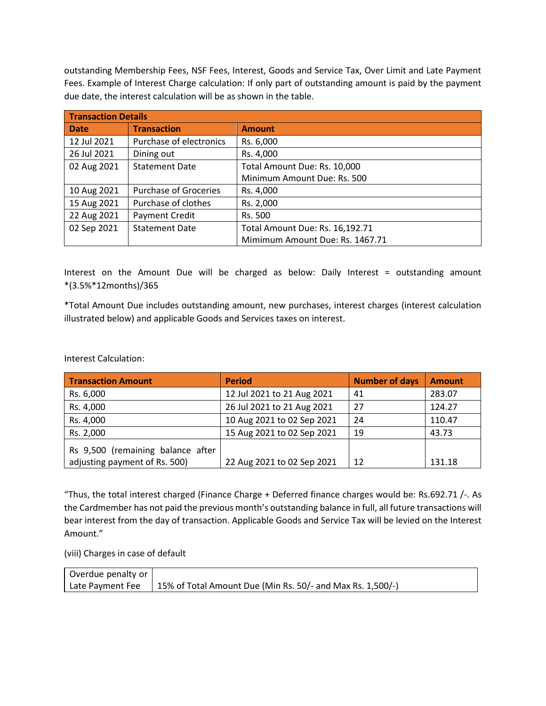outstanding Membership Fees, NSF Fees, Interest, Goods and Service Tax, Over Limit and Late Payment Fees. Example of Interest Charge calculation: If only part of outstanding amount is paid by the payment due date, the interest calculation will be as shown in the table.

| <b>Transaction Details</b> |                              |                                 |
|----------------------------|------------------------------|---------------------------------|
| <b>Date</b>                | <b>Transaction</b>           | <b>Amount</b>                   |
| 12 Jul 2021                | Purchase of electronics      | Rs. 6,000                       |
| 26 Jul 2021                | Dining out                   | Rs. 4,000                       |
| 02 Aug 2021                | <b>Statement Date</b>        | Total Amount Due: Rs. 10,000    |
|                            |                              | Minimum Amount Due: Rs. 500     |
| 10 Aug 2021                | <b>Purchase of Groceries</b> | Rs. 4,000                       |
| 15 Aug 2021                | Purchase of clothes          | Rs. 2,000                       |
| 22 Aug 2021                | Payment Credit               | Rs. 500                         |
| 02 Sep 2021                | <b>Statement Date</b>        | Total Amount Due: Rs. 16,192.71 |
|                            |                              | Mimimum Amount Due: Rs. 1467.71 |

Interest on the Amount Due will be charged as below: Daily Interest = outstanding amount \*(3.5%\*12months)/365

\*Total Amount Due includes outstanding amount, new purchases, interest charges (interest calculation illustrated below) and applicable Goods and Services taxes on interest.

Interest Calculation:

| <b>Transaction Amount</b>         | <b>Period</b>              | <b>Number of days</b> | <b>Amount</b> |
|-----------------------------------|----------------------------|-----------------------|---------------|
| Rs. 6,000                         | 12 Jul 2021 to 21 Aug 2021 | 41                    | 283.07        |
| Rs. 4,000                         | 26 Jul 2021 to 21 Aug 2021 | 27                    | 124.27        |
| Rs. 4,000                         | 10 Aug 2021 to 02 Sep 2021 | 24                    | 110.47        |
| Rs. 2,000                         | 15 Aug 2021 to 02 Sep 2021 | 19                    | 43.73         |
| Rs 9,500 (remaining balance after |                            |                       |               |
| adjusting payment of Rs. 500)     | 22 Aug 2021 to 02 Sep 2021 | 12                    | 131.18        |

"Thus, the total interest charged (Finance Charge + Deferred finance charges would be: Rs.692.71 /-. As the Cardmember has not paid the previous month's outstanding balance in full, all future transactions will bear interest from the day of transaction. Applicable Goods and Service Tax will be levied on the Interest Amount."

(viii) Charges in case of default

| Overdue penalty or |                                                                               |
|--------------------|-------------------------------------------------------------------------------|
|                    | Late Payment Fee   15% of Total Amount Due (Min Rs. 50/- and Max Rs. 1,500/-) |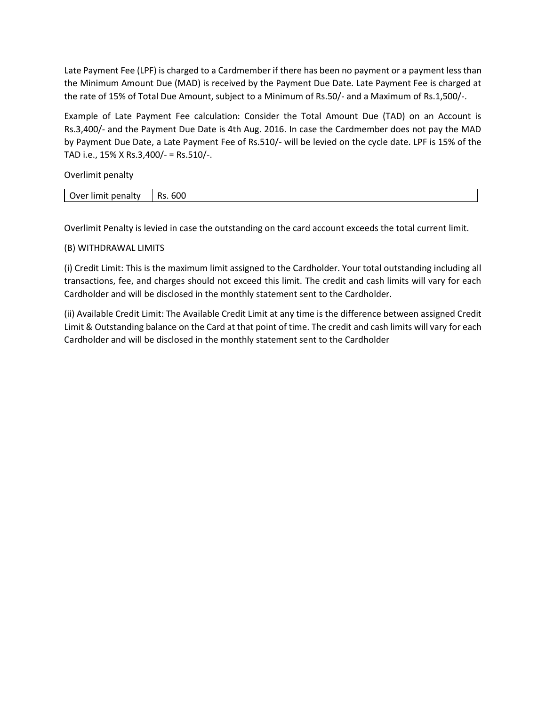Late Payment Fee (LPF) is charged to a Cardmember if there has been no payment or a payment less than the Minimum Amount Due (MAD) is received by the Payment Due Date. Late Payment Fee is charged at the rate of 15% of Total Due Amount, subject to a Minimum of Rs.50/- and a Maximum of Rs.1,500/-.

Example of Late Payment Fee calculation: Consider the Total Amount Due (TAD) on an Account is Rs.3,400/- and the Payment Due Date is 4th Aug. 2016. In case the Cardmember does not pay the MAD by Payment Due Date, a Late Payment Fee of Rs.510/- will be levied on the cycle date. LPF is 15% of the TAD i.e., 15% X Rs.3,400/- = Rs.510/-.

Overlimit penalty

| . Iver<br>лану<br>ים ו<br>um<br>. | . .<br>ouu |
|-----------------------------------|------------|
|                                   |            |

Overlimit Penalty is levied in case the outstanding on the card account exceeds the total current limit.

## (B) WITHDRAWAL LIMITS

(i) Credit Limit: This is the maximum limit assigned to the Cardholder. Your total outstanding including all transactions, fee, and charges should not exceed this limit. The credit and cash limits will vary for each Cardholder and will be disclosed in the monthly statement sent to the Cardholder.

(ii) Available Credit Limit: The Available Credit Limit at any time is the difference between assigned Credit Limit & Outstanding balance on the Card at that point of time. The credit and cash limits will vary for each Cardholder and will be disclosed in the monthly statement sent to the Cardholder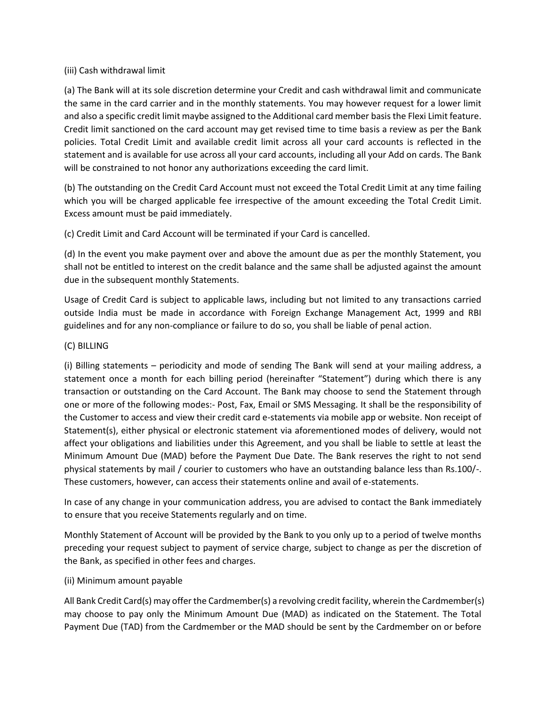## (iii) Cash withdrawal limit

(a) The Bank will at its sole discretion determine your Credit and cash withdrawal limit and communicate the same in the card carrier and in the monthly statements. You may however request for a lower limit and also a specific credit limit maybe assigned to the Additional card member basis the Flexi Limit feature. Credit limit sanctioned on the card account may get revised time to time basis a review as per the Bank policies. Total Credit Limit and available credit limit across all your card accounts is reflected in the statement and is available for use across all your card accounts, including all your Add on cards. The Bank will be constrained to not honor any authorizations exceeding the card limit.

(b) The outstanding on the Credit Card Account must not exceed the Total Credit Limit at any time failing which you will be charged applicable fee irrespective of the amount exceeding the Total Credit Limit. Excess amount must be paid immediately.

(c) Credit Limit and Card Account will be terminated if your Card is cancelled.

(d) In the event you make payment over and above the amount due as per the monthly Statement, you shall not be entitled to interest on the credit balance and the same shall be adjusted against the amount due in the subsequent monthly Statements.

Usage of Credit Card is subject to applicable laws, including but not limited to any transactions carried outside India must be made in accordance with Foreign Exchange Management Act, 1999 and RBI guidelines and for any non-compliance or failure to do so, you shall be liable of penal action.

# (C) BILLING

(i) Billing statements – periodicity and mode of sending The Bank will send at your mailing address, a statement once a month for each billing period (hereinafter "Statement") during which there is any transaction or outstanding on the Card Account. The Bank may choose to send the Statement through one or more of the following modes:- Post, Fax, Email or SMS Messaging. It shall be the responsibility of the Customer to access and view their credit card e-statements via mobile app or website. Non receipt of Statement(s), either physical or electronic statement via aforementioned modes of delivery, would not affect your obligations and liabilities under this Agreement, and you shall be liable to settle at least the Minimum Amount Due (MAD) before the Payment Due Date. The Bank reserves the right to not send physical statements by mail / courier to customers who have an outstanding balance less than Rs.100/-. These customers, however, can access their statements online and avail of e-statements.

In case of any change in your communication address, you are advised to contact the Bank immediately to ensure that you receive Statements regularly and on time.

Monthly Statement of Account will be provided by the Bank to you only up to a period of twelve months preceding your request subject to payment of service charge, subject to change as per the discretion of the Bank, as specified in other fees and charges.

## (ii) Minimum amount payable

All Bank Credit Card(s) may offer the Cardmember(s) a revolving credit facility, wherein the Cardmember(s) may choose to pay only the Minimum Amount Due (MAD) as indicated on the Statement. The Total Payment Due (TAD) from the Cardmember or the MAD should be sent by the Cardmember on or before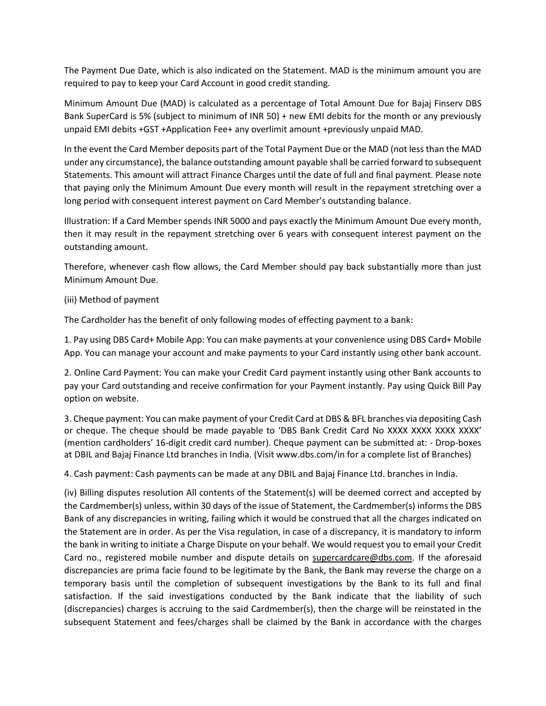The Payment Due Date, which is also indicated on the Statement. MAD is the minimum amount you are required to pay to keep your Card Account in good credit standing.

Minimum Amount Due (MAD) is calculated as a percentage of Total Amount Due for Bajaj Finserv DBS Bank SuperCard is 5% (subject to minimum of INR 50) + new EMI debits for the month or any previously unpaid EMI debits +GST +Application Fee+ any overlimit amount +previously unpaid MAD.

In the event the Card Member deposits part of the Total Payment Due or the MAD (not less than the MAD under any circumstance), the balance outstanding amount payable shall be carried forward to subsequent Statements. This amount will attract Finance Charges until the date of full and final payment. Please note that paying only the Minimum Amount Due every month will result in the repayment stretching over a long period with consequent interest payment on Card Member's outstanding balance.

Illustration: If a Card Member spends INR 5000 and pays exactly the Minimum Amount Due every month, then it may result in the repayment stretching over 6 years with consequent interest payment on the outstanding amount.

Therefore, whenever cash flow allows, the Card Member should pay back substantially more than just Minimum Amount Due.

## (iii) Method of payment

The Cardholder has the benefit of only following modes of effecting payment to a bank:

1. Pay using DBS Card+ Mobile App: You can make payments at your convenience using DBS Card+ Mobile App. You can manage your account and make payments to your Card instantly using other bank account.

2. Online Card Payment: You can make your Credit Card payment instantly using other Bank accounts to pay your Card outstanding and receive confirmation for your Payment instantly. Pay using Quick Bill Pay option on website.

3. Cheque payment: You can make payment of your Credit Card at DBS & BFL branches via depositing Cash or cheque. The cheque should be made payable to 'DBS Bank Credit Card No XXXX XXXX XXXX XXXX' (mention cardholders' 16-digit credit card number). Cheque payment can be submitted at: - Drop-boxes at DBIL and Bajaj Finance Ltd branches in India. (Visit www.dbs.com/in for a complete list of Branches)

4. Cash payment: Cash payments can be made at any DBIL and Bajaj Finance Ltd. branches in India.

(iv) Billing disputes resolution All contents of the Statement(s) will be deemed correct and accepted by the Cardmember(s) unless, within 30 days of the issue of Statement, the Cardmember(s) informs the DBS Bank of any discrepancies in writing, failing which it would be construed that all the charges indicated on the Statement are in order. As per the Visa regulation, in case of a discrepancy, it is mandatory to inform the bank in writing to initiate a Charge Dispute on your behalf. We would request you to email your Credit Card no., registered mobile number and dispute details on [supercardcare@dbs.com.](mailto:supercardcare@dbs.com) If the aforesaid discrepancies are prima facie found to be legitimate by the Bank, the Bank may reverse the charge on a temporary basis until the completion of subsequent investigations by the Bank to its full and final satisfaction. If the said investigations conducted by the Bank indicate that the liability of such (discrepancies) charges is accruing to the said Cardmember(s), then the charge will be reinstated in the subsequent Statement and fees/charges shall be claimed by the Bank in accordance with the charges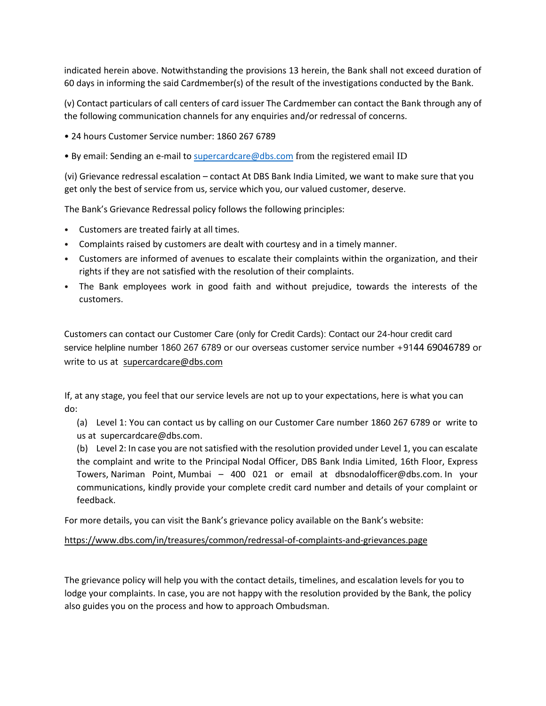indicated herein above. Notwithstanding the provisions 13 herein, the Bank shall not exceed duration of 60 days in informing the said Cardmember(s) of the result of the investigations conducted by the Bank.

(v) Contact particulars of call centers of card issuer The Cardmember can contact the Bank through any of the following communication channels for any enquiries and/or redressal of concerns.

- 24 hours Customer Service number: 1860 267 6789
- By email: Sending an e-mail to [supercardcare@dbs.com](mailto:supercardcare@dbs.com) from the registered email ID

(vi) Grievance redressal escalation – contact At DBS Bank India Limited, we want to make sure that you get only the best of service from us, service which you, our valued customer, deserve.

The Bank's Grievance Redressal policy follows the following principles:

- Customers are treated fairly at all times.
- Complaints raised by customers are dealt with courtesy and in a timely manner.
- Customers are informed of avenues to escalate their complaints within the organization, and their rights if they are not satisfied with the resolution of their complaints.
- The Bank employees work in good faith and without prejudice, towards the interests of the customers.

Customers can contact our Customer Care (only for Credit Cards): Contact our 24-hour credit card service helpline number 1860 267 6789 or our overseas customer service number +9144 69046789 or write to us at [supercardcare@dbs.com](mailto:supercardcare@dbs.com)

If, at any stage, you feel that our service levels are not up to your expectations, here is what you can do:

(a) Level 1: You can contact us by calling on our Customer Care number 1860 267 6789 or write to us at [supercardcare@dbs.com.](mailto:supercardcare@dbs.com)

(b) Level 2: In case you are not satisfied with the resolution provided under Level 1, you can escalate the complaint and write to the Principal Nodal Officer, DBS Bank India Limited, 16th Floor, Express Towers, Nariman Point, Mumbai – 400 021 or email at [dbsnodalofficer@dbs.com.](mailto:dbsnodalofficer@dbs.com) In your communications, kindly provide your complete credit card number and details of your complaint or feedback.

For more details, you can visit the Bank's grievance policy available on the Bank's website:

## <https://www.dbs.com/in/treasures/common/redressal-of-complaints-and-grievances.page>

The grievance policy will help you with the contact details, timelines, and escalation levels for you to lodge your complaints. In case, you are not happy with the resolution provided by the Bank, the policy also guides you on the process and how to approach Ombudsman.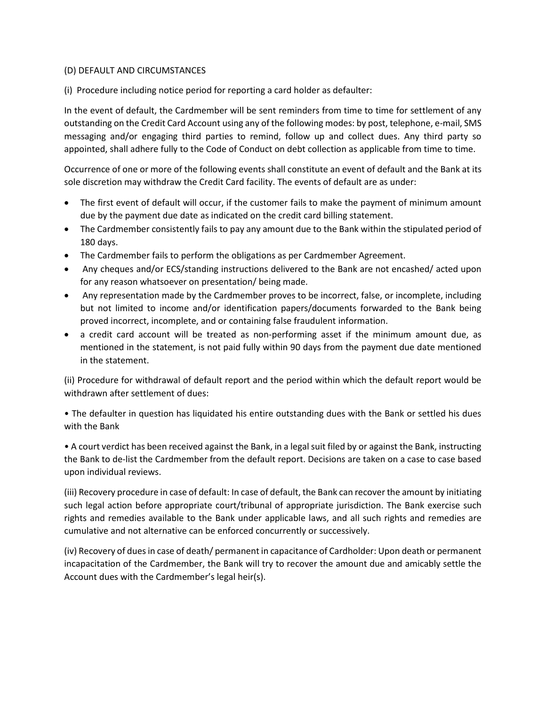## (D) DEFAULT AND CIRCUMSTANCES

(i) Procedure including notice period for reporting a card holder as defaulter:

In the event of default, the Cardmember will be sent reminders from time to time for settlement of any outstanding on the Credit Card Account using any of the following modes: by post, telephone, e-mail, SMS messaging and/or engaging third parties to remind, follow up and collect dues. Any third party so appointed, shall adhere fully to the Code of Conduct on debt collection as applicable from time to time.

Occurrence of one or more of the following events shall constitute an event of default and the Bank at its sole discretion may withdraw the Credit Card facility. The events of default are as under:

- The first event of default will occur, if the customer fails to make the payment of minimum amount due by the payment due date as indicated on the credit card billing statement.
- The Cardmember consistently fails to pay any amount due to the Bank within the stipulated period of 180 days.
- The Cardmember fails to perform the obligations as per Cardmember Agreement.
- Any cheques and/or ECS/standing instructions delivered to the Bank are not encashed/ acted upon for any reason whatsoever on presentation/ being made.
- Any representation made by the Cardmember proves to be incorrect, false, or incomplete, including but not limited to income and/or identification papers/documents forwarded to the Bank being proved incorrect, incomplete, and or containing false fraudulent information.
- a credit card account will be treated as non-performing asset if the minimum amount due, as mentioned in the statement, is not paid fully within 90 days from the payment due date mentioned in the statement.

(ii) Procedure for withdrawal of default report and the period within which the default report would be withdrawn after settlement of dues:

• The defaulter in question has liquidated his entire outstanding dues with the Bank or settled his dues with the Bank

• A court verdict has been received against the Bank, in a legal suit filed by or against the Bank, instructing the Bank to de-list the Cardmember from the default report. Decisions are taken on a case to case based upon individual reviews.

(iii) Recovery procedure in case of default: In case of default, the Bank can recover the amount by initiating such legal action before appropriate court/tribunal of appropriate jurisdiction. The Bank exercise such rights and remedies available to the Bank under applicable laws, and all such rights and remedies are cumulative and not alternative can be enforced concurrently or successively.

(iv) Recovery of dues in case of death/ permanent in capacitance of Cardholder: Upon death or permanent incapacitation of the Cardmember, the Bank will try to recover the amount due and amicably settle the Account dues with the Cardmember's legal heir(s).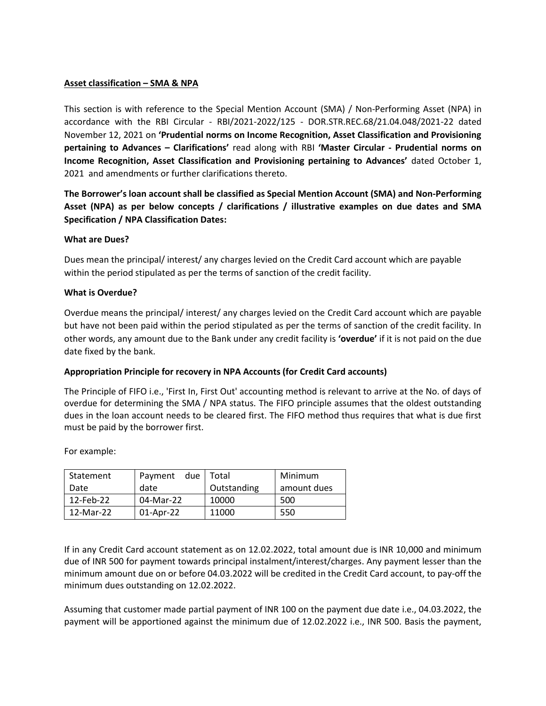## **Asset classification – SMA & NPA**

This section is with reference to the Special Mention Account (SMA) / Non-Performing Asset (NPA) in accordance with the RBI Circular - RBI/2021-2022/125 - DOR.STR.REC.68/21.04.048/2021-22 dated November 12, 2021 on **'Prudential norms on Income Recognition, Asset Classification and Provisioning pertaining to Advances – Clarifications'** read along with RBI **'Master Circular - Prudential norms on Income Recognition, Asset Classification and Provisioning pertaining to Advances'** dated October 1, 2021 and amendments or further clarifications thereto.

**The Borrower's loan account shall be classified as Special Mention Account (SMA) and Non-Performing Asset (NPA) as per below concepts / clarifications / illustrative examples on due dates and SMA Specification / NPA Classification Dates:**

#### **What are Dues?**

Dues mean the principal/ interest/ any charges levied on the Credit Card account which are payable within the period stipulated as per the terms of sanction of the credit facility.

## **What is Overdue?**

Overdue means the principal/ interest/ any charges levied on the Credit Card account which are payable but have not been paid within the period stipulated as per the terms of sanction of the credit facility. In other words, any amount due to the Bank under any credit facility is **'overdue'** if it is not paid on the due date fixed by the bank.

## **Appropriation Principle for recovery in NPA Accounts (for Credit Card accounts)**

The Principle of FIFO i.e., 'First In, First Out' accounting method is relevant to arrive at the No. of days of overdue for determining the SMA / NPA status. The FIFO principle assumes that the oldest outstanding dues in the loan account needs to be cleared first. The FIFO method thus requires that what is due first must be paid by the borrower first.

For example:

| Statement | due l<br>Payment | Total       | Minimum     |  |
|-----------|------------------|-------------|-------------|--|
| Date      | date             | Outstanding | amount dues |  |
| 12-Feb-22 | 04-Mar-22        | 10000       | 500         |  |
| 12-Mar-22 | 01-Apr-22        | 11000       | 550         |  |

If in any Credit Card account statement as on 12.02.2022, total amount due is INR 10,000 and minimum due of INR 500 for payment towards principal instalment/interest/charges. Any payment lesser than the minimum amount due on or before 04.03.2022 will be credited in the Credit Card account, to pay-off the minimum dues outstanding on 12.02.2022.

Assuming that customer made partial payment of INR 100 on the payment due date i.e., 04.03.2022, the payment will be apportioned against the minimum due of 12.02.2022 i.e., INR 500. Basis the payment,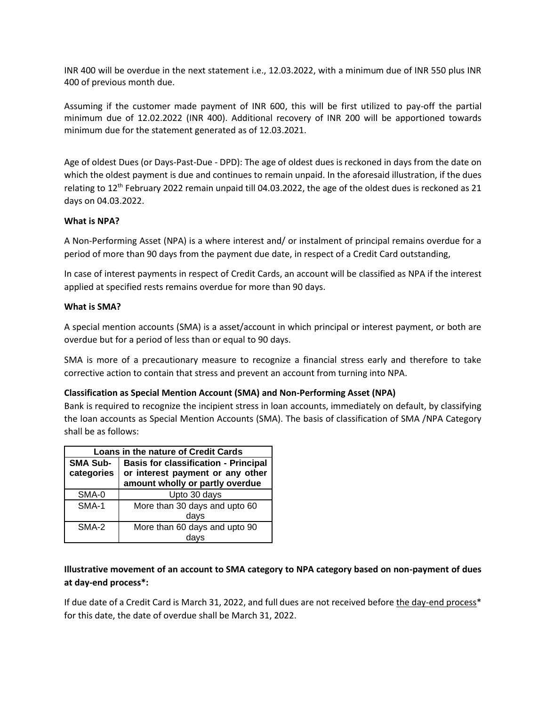INR 400 will be overdue in the next statement i.e., 12.03.2022, with a minimum due of INR 550 plus INR 400 of previous month due.

Assuming if the customer made payment of INR 600, this will be first utilized to pay-off the partial minimum due of 12.02.2022 (INR 400). Additional recovery of INR 200 will be apportioned towards minimum due for the statement generated as of 12.03.2021.

Age of oldest Dues (or Days-Past-Due - DPD): The age of oldest dues is reckoned in days from the date on which the oldest payment is due and continues to remain unpaid. In the aforesaid illustration, if the dues relating to  $12<sup>th</sup>$  February 2022 remain unpaid till 04.03.2022, the age of the oldest dues is reckoned as 21 days on 04.03.2022.

## **What is NPA?**

A Non-Performing Asset (NPA) is a where interest and/ or instalment of principal remains overdue for a period of more than 90 days from the payment due date, in respect of a Credit Card outstanding,

In case of interest payments in respect of Credit Cards, an account will be classified as NPA if the interest applied at specified rests remains overdue for more than 90 days.

#### **What is SMA?**

A special mention accounts (SMA) is a asset/account in which principal or interest payment, or both are overdue but for a period of less than or equal to 90 days.

SMA is more of a precautionary measure to recognize a financial stress early and therefore to take corrective action to contain that stress and prevent an account from turning into NPA.

#### **Classification as Special Mention Account (SMA) and Non-Performing Asset (NPA)**

Bank is required to recognize the incipient stress in loan accounts, immediately on default, by classifying the loan accounts as Special Mention Accounts (SMA). The basis of classification of SMA /NPA Category shall be as follows:

| Loans in the nature of Credit Cards |                                                                     |  |  |  |  |
|-------------------------------------|---------------------------------------------------------------------|--|--|--|--|
| <b>SMA Sub-</b>                     | <b>Basis for classification - Principal</b>                         |  |  |  |  |
| categories                          | or interest payment or any other<br>amount wholly or partly overdue |  |  |  |  |
|                                     |                                                                     |  |  |  |  |
| SMA-0                               | Upto 30 days                                                        |  |  |  |  |
| SMA-1                               | More than 30 days and upto 60                                       |  |  |  |  |
|                                     | days                                                                |  |  |  |  |
| SMA-2                               | More than 60 days and upto 90                                       |  |  |  |  |
|                                     |                                                                     |  |  |  |  |

# **Illustrative movement of an account to SMA category to NPA category based on non-payment of dues at day-end process\*:**

If due date of a Credit Card is March 31, 2022, and full dues are not received before the day-end process\* for this date, the date of overdue shall be March 31, 2022.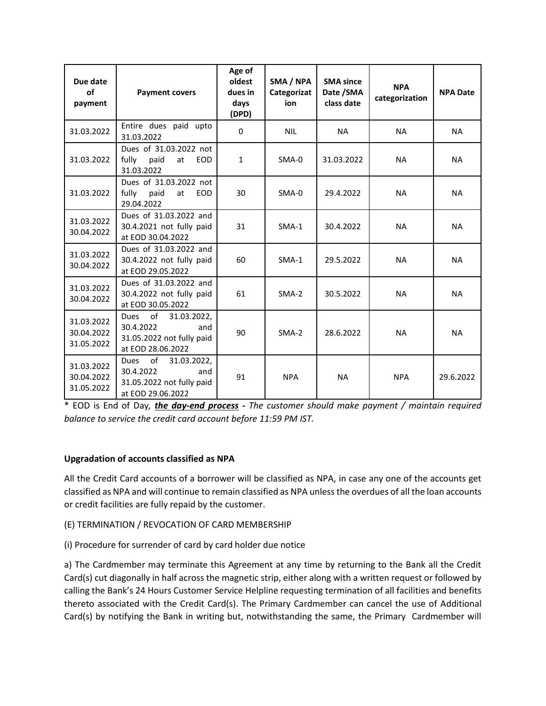| Due date<br>οf<br>payment              | <b>Payment covers</b>                                                                                  | Age of<br>oldest<br>dues in<br>days<br>(DPD) | SMA / NPA<br>Categorizat<br>ion | <b>SMA since</b><br>Date / SMA<br>class date | <b>NPA</b><br>categorization | <b>NPA Date</b> |
|----------------------------------------|--------------------------------------------------------------------------------------------------------|----------------------------------------------|---------------------------------|----------------------------------------------|------------------------------|-----------------|
| 31.03.2022                             | Entire dues paid upto<br>31.03.2022                                                                    | $\Omega$                                     | <b>NIL</b>                      | <b>NA</b>                                    | <b>NA</b>                    | <b>NA</b>       |
| 31.03.2022                             | Dues of 31.03.2022 not<br>fully<br>paid<br><b>EOD</b><br>at<br>31.03.2022                              | $\mathbf{1}$                                 | $SMA-0$                         | 31.03.2022                                   | <b>NA</b>                    | <b>NA</b>       |
| 31.03.2022                             | Dues of 31.03.2022 not<br>fully<br>paid<br><b>EOD</b><br>at<br>29.04.2022                              | 30                                           | SMA-0                           | 29.4.2022                                    | <b>NA</b>                    | <b>NA</b>       |
| 31.03.2022<br>30.04.2022               | Dues of 31.03.2022 and<br>30.4.2021 not fully paid<br>at EOD 30.04.2022                                | 31                                           | $SMA-1$                         | 30.4.2022                                    | <b>NA</b>                    | <b>NA</b>       |
| 31.03.2022<br>30.04.2022               | Dues of 31.03.2022 and<br>30.4.2022 not fully paid<br>at EOD 29.05.2022                                | 60                                           | $SMA-1$                         | 29.5.2022                                    | <b>NA</b>                    | <b>NA</b>       |
| 31.03.2022<br>30.04.2022               | Dues of 31.03.2022 and<br>30.4.2022 not fully paid<br>at EOD 30.05.2022                                | 61                                           | $SMA-2$                         | 30.5.2022                                    | <b>NA</b>                    | <b>NA</b>       |
| 31.03.2022<br>30.04.2022<br>31.05.2022 | of<br>31.03.2022,<br><b>Dues</b><br>30.4.2022<br>and<br>31.05.2022 not fully paid<br>at EOD 28.06.2022 | 90                                           | $SMA-2$                         | 28.6.2022                                    | <b>NA</b>                    | <b>NA</b>       |
| 31.03.2022<br>30.04.2022<br>31.05.2022 | of<br><b>Dues</b><br>31.03.2022,<br>30.4.2022<br>and<br>31.05.2022 not fully paid<br>at EOD 29.06.2022 | 91                                           | <b>NPA</b>                      | <b>NA</b>                                    | <b>NPA</b>                   | 29.6.2022       |

\* EOD is End of Day*, the day-end process - The customer should make payment / maintain required balance to service the credit card account before 11:59 PM IST.*

# **Upgradation of accounts classified as NPA**

All the Credit Card accounts of a borrower will be classified as NPA, in case any one of the accounts get classified as NPA and will continue to remain classified as NPA unless the overdues of all the loan accounts or credit facilities are fully repaid by the customer.

## (E) TERMINATION / REVOCATION OF CARD MEMBERSHIP

(i) Procedure for surrender of card by card holder due notice

a) The Cardmember may terminate this Agreement at any time by returning to the Bank all the Credit Card(s) cut diagonally in half across the magnetic strip, either along with a written request or followed by calling the Bank's 24 Hours Customer Service Helpline requesting termination of all facilities and benefits thereto associated with the Credit Card(s). The Primary Cardmember can cancel the use of Additional Card(s) by notifying the Bank in writing but, notwithstanding the same, the Primary Cardmember will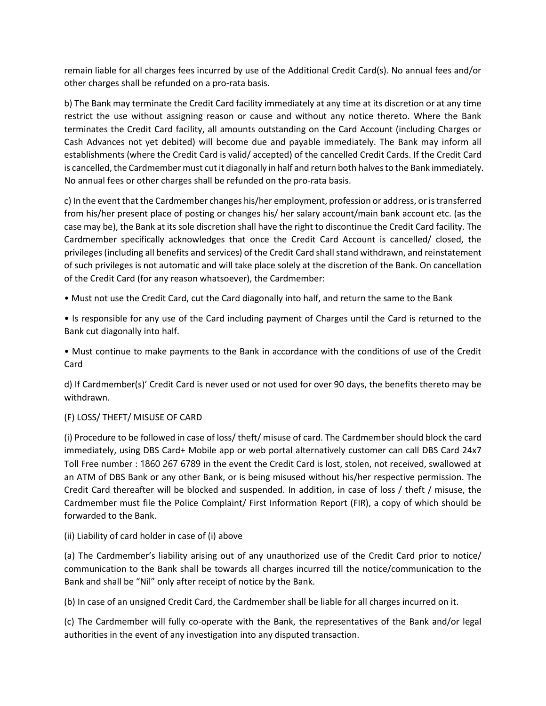remain liable for all charges fees incurred by use of the Additional Credit Card(s). No annual fees and/or other charges shall be refunded on a pro-rata basis.

b) The Bank may terminate the Credit Card facility immediately at any time at its discretion or at any time restrict the use without assigning reason or cause and without any notice thereto. Where the Bank terminates the Credit Card facility, all amounts outstanding on the Card Account (including Charges or Cash Advances not yet debited) will become due and payable immediately. The Bank may inform all establishments (where the Credit Card is valid/ accepted) of the cancelled Credit Cards. If the Credit Card is cancelled, the Cardmember must cut it diagonally in half and return both halves to the Bank immediately. No annual fees or other charges shall be refunded on the pro-rata basis.

c) In the event that the Cardmember changes his/her employment, profession or address, or is transferred from his/her present place of posting or changes his/ her salary account/main bank account etc. (as the case may be), the Bank at its sole discretion shall have the right to discontinue the Credit Card facility. The Cardmember specifically acknowledges that once the Credit Card Account is cancelled/ closed, the privileges (including all benefits and services) of the Credit Card shall stand withdrawn, and reinstatement of such privileges is not automatic and will take place solely at the discretion of the Bank. On cancellation of the Credit Card (for any reason whatsoever), the Cardmember:

• Must not use the Credit Card, cut the Card diagonally into half, and return the same to the Bank

• Is responsible for any use of the Card including payment of Charges until the Card is returned to the Bank cut diagonally into half.

• Must continue to make payments to the Bank in accordance with the conditions of use of the Credit Card

d) If Cardmember(s)' Credit Card is never used or not used for over 90 days, the benefits thereto may be withdrawn.

## (F) LOSS/ THEFT/ MISUSE OF CARD

(i) Procedure to be followed in case of loss/ theft/ misuse of card. The Cardmember should block the card immediately, using DBS Card+ Mobile app or web portal alternatively customer can call DBS Card 24x7 Toll Free number : 1860 267 6789 in the event the Credit Card is lost, stolen, not received, swallowed at an ATM of DBS Bank or any other Bank, or is being misused without his/her respective permission. The Credit Card thereafter will be blocked and suspended. In addition, in case of loss / theft / misuse, the Cardmember must file the Police Complaint/ First Information Report (FIR), a copy of which should be forwarded to the Bank.

## (ii) Liability of card holder in case of (i) above

(a) The Cardmember's liability arising out of any unauthorized use of the Credit Card prior to notice/ communication to the Bank shall be towards all charges incurred till the notice/communication to the Bank and shall be "Nil" only after receipt of notice by the Bank.

(b) In case of an unsigned Credit Card, the Cardmember shall be liable for all charges incurred on it.

(c) The Cardmember will fully co-operate with the Bank, the representatives of the Bank and/or legal authorities in the event of any investigation into any disputed transaction.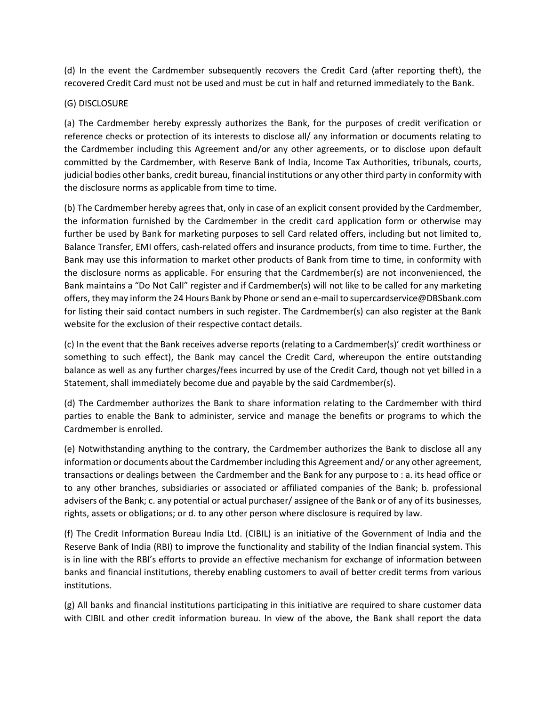(d) In the event the Cardmember subsequently recovers the Credit Card (after reporting theft), the recovered Credit Card must not be used and must be cut in half and returned immediately to the Bank.

# (G) DISCLOSURE

(a) The Cardmember hereby expressly authorizes the Bank, for the purposes of credit verification or reference checks or protection of its interests to disclose all/ any information or documents relating to the Cardmember including this Agreement and/or any other agreements, or to disclose upon default committed by the Cardmember, with Reserve Bank of India, Income Tax Authorities, tribunals, courts, judicial bodies other banks, credit bureau, financial institutions or any other third party in conformity with the disclosure norms as applicable from time to time.

(b) The Cardmember hereby agrees that, only in case of an explicit consent provided by the Cardmember, the information furnished by the Cardmember in the credit card application form or otherwise may further be used by Bank for marketing purposes to sell Card related offers, including but not limited to, Balance Transfer, EMI offers, cash-related offers and insurance products, from time to time. Further, the Bank may use this information to market other products of Bank from time to time, in conformity with the disclosure norms as applicable. For ensuring that the Cardmember(s) are not inconvenienced, the Bank maintains a "Do Not Call" register and if Cardmember(s) will not like to be called for any marketing offers, they may inform the 24 Hours Bank by Phone or send an e-mail to supercardservice@DBSbank.com for listing their said contact numbers in such register. The Cardmember(s) can also register at the Bank website for the exclusion of their respective contact details.

(c) In the event that the Bank receives adverse reports (relating to a Cardmember(s)' credit worthiness or something to such effect), the Bank may cancel the Credit Card, whereupon the entire outstanding balance as well as any further charges/fees incurred by use of the Credit Card, though not yet billed in a Statement, shall immediately become due and payable by the said Cardmember(s).

(d) The Cardmember authorizes the Bank to share information relating to the Cardmember with third parties to enable the Bank to administer, service and manage the benefits or programs to which the Cardmember is enrolled.

(e) Notwithstanding anything to the contrary, the Cardmember authorizes the Bank to disclose all any information or documents about the Cardmember including this Agreement and/ or any other agreement, transactions or dealings between the Cardmember and the Bank for any purpose to : a. its head office or to any other branches, subsidiaries or associated or affiliated companies of the Bank; b. professional advisers of the Bank; c. any potential or actual purchaser/ assignee of the Bank or of any of its businesses, rights, assets or obligations; or d. to any other person where disclosure is required by law.

(f) The Credit Information Bureau India Ltd. (CIBIL) is an initiative of the Government of India and the Reserve Bank of India (RBI) to improve the functionality and stability of the Indian financial system. This is in line with the RBI's efforts to provide an effective mechanism for exchange of information between banks and financial institutions, thereby enabling customers to avail of better credit terms from various institutions.

(g) All banks and financial institutions participating in this initiative are required to share customer data with CIBIL and other credit information bureau. In view of the above, the Bank shall report the data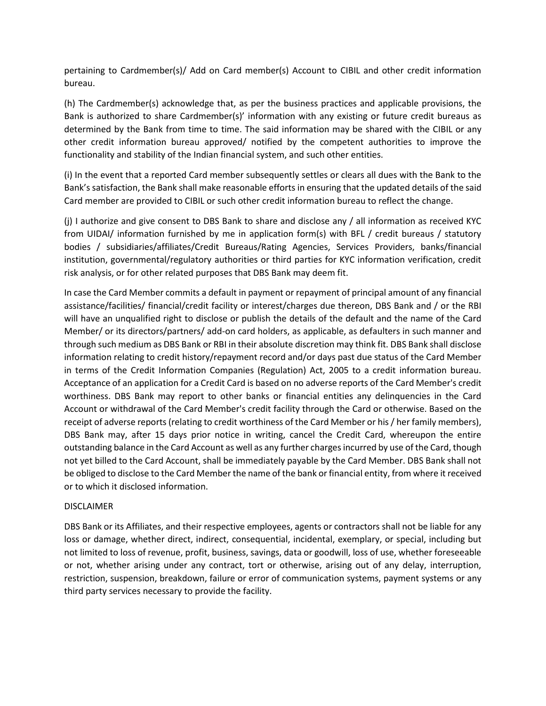pertaining to Cardmember(s)/ Add on Card member(s) Account to CIBIL and other credit information bureau.

(h) The Cardmember(s) acknowledge that, as per the business practices and applicable provisions, the Bank is authorized to share Cardmember(s)' information with any existing or future credit bureaus as determined by the Bank from time to time. The said information may be shared with the CIBIL or any other credit information bureau approved/ notified by the competent authorities to improve the functionality and stability of the Indian financial system, and such other entities.

(i) In the event that a reported Card member subsequently settles or clears all dues with the Bank to the Bank's satisfaction, the Bank shall make reasonable efforts in ensuring that the updated details of the said Card member are provided to CIBIL or such other credit information bureau to reflect the change.

(j) I authorize and give consent to DBS Bank to share and disclose any / all information as received KYC from UIDAI/ information furnished by me in application form(s) with BFL / credit bureaus / statutory bodies / subsidiaries/affiliates/Credit Bureaus/Rating Agencies, Services Providers, banks/financial institution, governmental/regulatory authorities or third parties for KYC information verification, credit risk analysis, or for other related purposes that DBS Bank may deem fit.

In case the Card Member commits a default in payment or repayment of principal amount of any financial assistance/facilities/ financial/credit facility or interest/charges due thereon, DBS Bank and / or the RBI will have an unqualified right to disclose or publish the details of the default and the name of the Card Member/ or its directors/partners/ add-on card holders, as applicable, as defaulters in such manner and through such medium as DBS Bank or RBI in their absolute discretion may think fit. DBS Bank shall disclose information relating to credit history/repayment record and/or days past due status of the Card Member in terms of the Credit Information Companies (Regulation) Act, 2005 to a credit information bureau. Acceptance of an application for a Credit Card is based on no adverse reports of the Card Member's credit worthiness. DBS Bank may report to other banks or financial entities any delinquencies in the Card Account or withdrawal of the Card Member's credit facility through the Card or otherwise. Based on the receipt of adverse reports (relating to credit worthiness of the Card Member or his / her family members), DBS Bank may, after 15 days prior notice in writing, cancel the Credit Card, whereupon the entire outstanding balance in the Card Account as well as any further charges incurred by use of the Card, though not yet billed to the Card Account, shall be immediately payable by the Card Member. DBS Bank shall not be obliged to disclose to the Card Member the name of the bank or financial entity, from where it received or to which it disclosed information.

## DISCLAIMER

DBS Bank or its Affiliates, and their respective employees, agents or contractors shall not be liable for any loss or damage, whether direct, indirect, consequential, incidental, exemplary, or special, including but not limited to loss of revenue, profit, business, savings, data or goodwill, loss of use, whether foreseeable or not, whether arising under any contract, tort or otherwise, arising out of any delay, interruption, restriction, suspension, breakdown, failure or error of communication systems, payment systems or any third party services necessary to provide the facility.